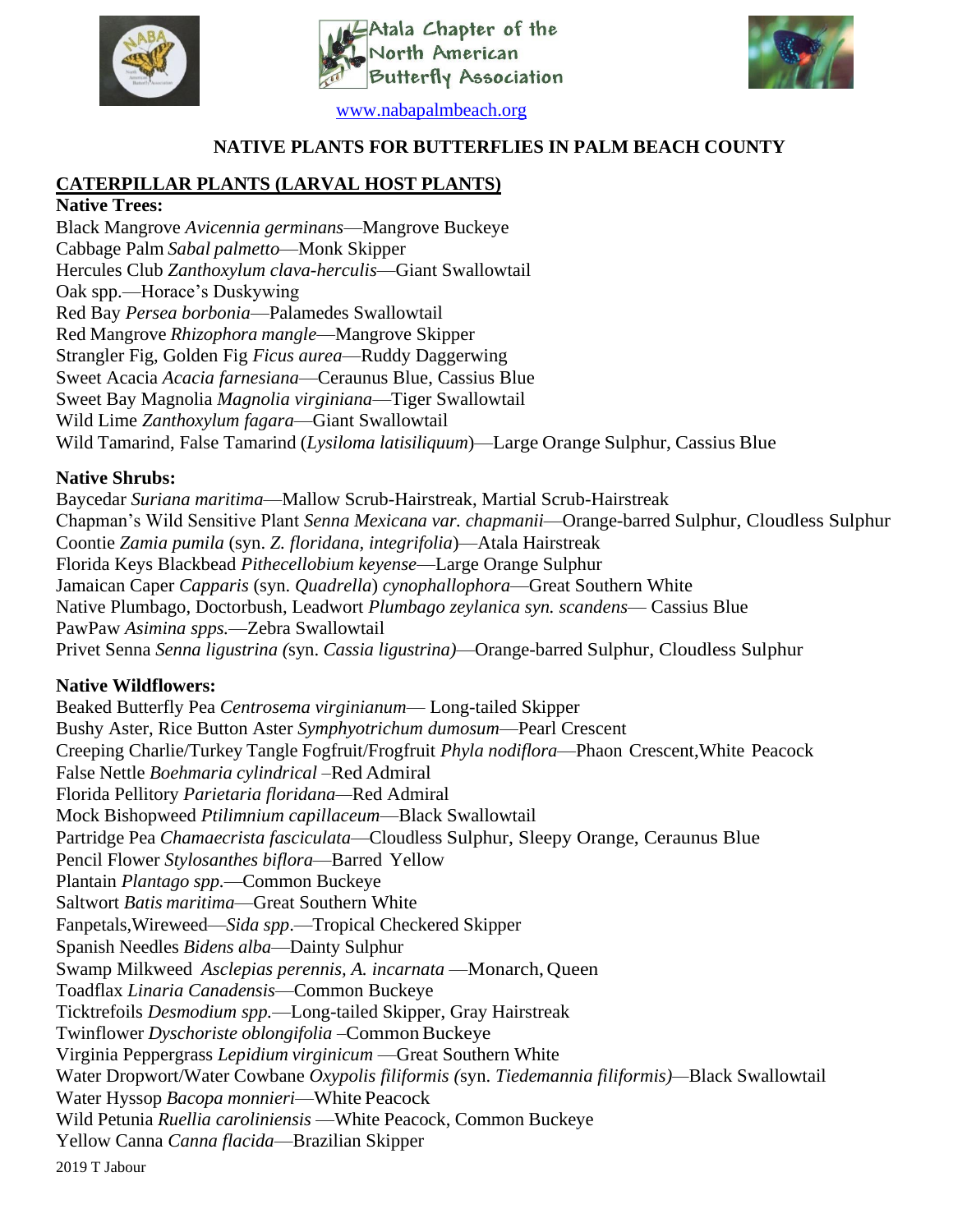

Atala Chapter of the orth American Ę **Butterfly Association** 



[www.nabapalmbeach.org](http://www.nabapalmbeach.org/)

### **NATIVE PLANTS FOR BUTTERFLIES IN PALM BEACH COUNTY**

# **CATERPILLAR PLANTS (LARVAL HOST PLANTS)**

### **Native Trees:**

Black Mangrove *Avicennia germinans*—Mangrove Buckeye Cabbage Palm *Sabal palmetto*—Monk Skipper Hercules Club *Zanthoxylum clava-herculis*—Giant Swallowtail Oak spp.—Horace's Duskywing Red Bay *Persea borbonia*—Palamedes Swallowtail Red Mangrove *Rhizophora mangle*—Mangrove Skipper Strangler Fig, Golden Fig *Ficus aurea*—Ruddy Daggerwing Sweet Acacia *Acacia farnesiana*—Ceraunus Blue, Cassius Blue Sweet Bay Magnolia *Magnolia virginiana*—Tiger Swallowtail Wild Lime *Zanthoxylum fagara*—Giant Swallowtail Wild Tamarind, False Tamarind (*Lysiloma latisiliquum*)—Large Orange Sulphur, Cassius Blue

### **Native Shrubs:**

Baycedar *Suriana maritima*—Mallow Scrub-Hairstreak, Martial Scrub-Hairstreak Chapman's Wild Sensitive Plant *Senna Mexicana var. chapmanii*—Orange-barred Sulphur, Cloudless Sulphur Coontie *Zamia pumila* (syn. *Z. floridana, integrifolia*)—Atala Hairstreak Florida Keys Blackbead *Pithecellobium keyense*—Large Orange Sulphur Jamaican Caper *Capparis* (syn. *Quadrella*) *cynophallophora*—Great Southern White Native Plumbago, Doctorbush, Leadwort *Plumbago zeylanica syn. scandens*— Cassius Blue PawPaw *Asimina spps.*—Zebra Swallowtail Privet Senna *Senna ligustrina (*syn. *Cassia ligustrina)*—Orange-barred Sulphur, Cloudless Sulphur

## **Native Wildflowers:**

2019 T Jabour Beaked Butterfly Pea *Centrosema virginianum*— Long-tailed Skipper Bushy Aster, Rice Button Aster *Symphyotrichum dumosum*—Pearl Crescent Creeping Charlie/Turkey Tangle Fogfruit/Frogfruit *Phyla nodiflora*—Phaon Crescent,White Peacock False Nettle *Boehmaria cylindrical* –Red Admiral Florida Pellitory *Parietaria floridana—*Red Admiral Mock Bishopweed *Ptilimnium capillaceum*—Black Swallowtail Partridge Pea *Chamaecrista fasciculata*—Cloudless Sulphur, Sleepy Orange, Ceraunus Blue Pencil Flower *Stylosanthes biflora*—Barred Yellow Plantain *Plantago spp.*—Common Buckeye Saltwort *Batis maritima*—Great Southern White Fanpetals,Wireweed—*Sida spp*.—Tropical Checkered Skipper Spanish Needles *Bidens alba*—Dainty Sulphur Swamp Milkweed *Asclepias perennis, A. incarnata* —Monarch, Queen Toadflax *Linaria Canadensis*—Common Buckeye Ticktrefoils *Desmodium spp.*—Long-tailed Skipper, Gray Hairstreak Twinflower *Dyschoriste oblongifolia* – Common Buckeye Virginia Peppergrass *Lepidium virginicum* —Great Southern White Water Dropwort/Water Cowbane *Oxypolis filiformis (*syn. *Tiedemannia filiformis)—*Black Swallowtail Water Hyssop *Bacopa monnieri*—White Peacock Wild Petunia *Ruellia caroliniensis* —White Peacock, Common Buckeye Yellow Canna *Canna flacida*—Brazilian Skipper